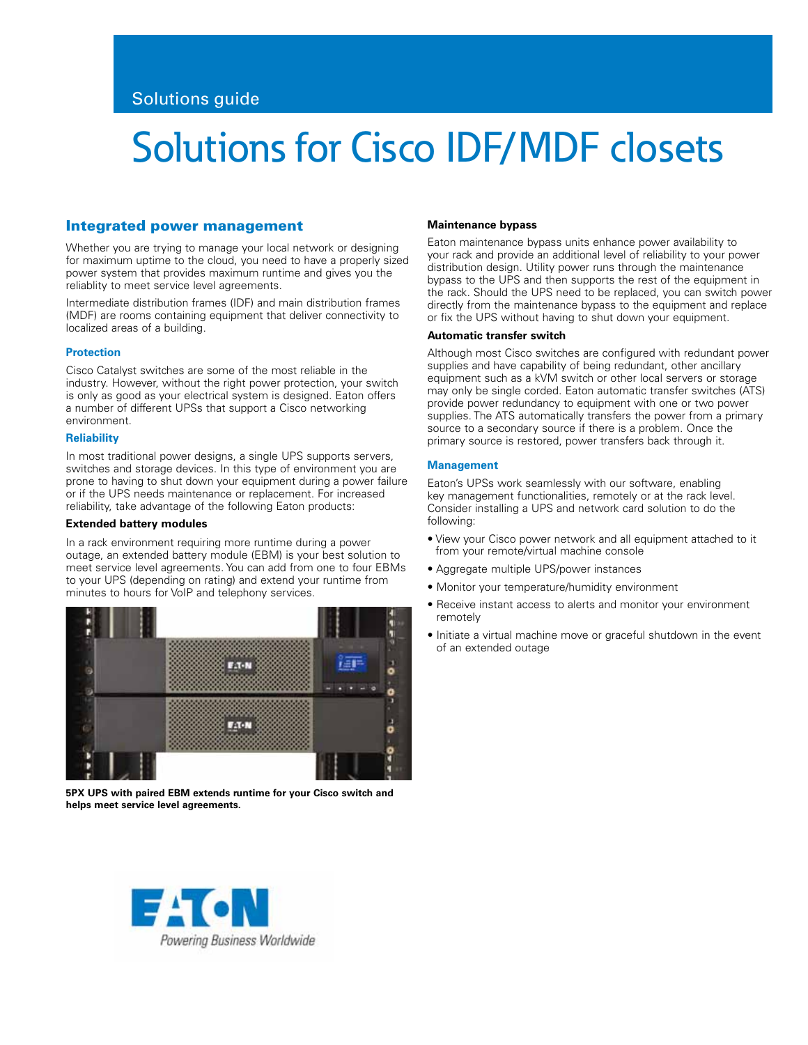# Solutions for Cisco IDF/MDF closets

# Integrated power management

Whether you are trying to manage your local network or designing for maximum uptime to the cloud, you need to have a properly sized power system that provides maximum runtime and gives you the reliablity to meet service level agreements.

Intermediate distribution frames (IDF) and main distribution frames (MDF) are rooms containing equipment that deliver connectivity to localized areas of a building.

## **Protection**

Cisco Catalyst switches are some of the most reliable in the industry. However, without the right power protection, your switch is only as good as your electrical system is designed. Eaton offers a number of different UPSs that support a Cisco networking environment.

#### **Reliability**

In most traditional power designs, a single UPS supports servers, switches and storage devices. In this type of environment you are prone to having to shut down your equipment during a power failure or if the UPS needs maintenance or replacement. For increased reliability, take advantage of the following Eaton products:

#### **Extended battery modules**

In a rack environment requiring more runtime during a power outage, an extended battery module (EBM) is your best solution to meet service level agreements. You can add from one to four EBMs to your UPS (depending on rating) and extend your runtime from minutes to hours for VoIP and telephony services.



**5PX UPS with paired EBM extends runtime for your Cisco switch and helps meet service level agreements.**

# **Maintenance bypass**

Eaton maintenance bypass units enhance power availability to your rack and provide an additional level of reliability to your power distribution design. Utility power runs through the maintenance bypass to the UPS and then supports the rest of the equipment in the rack. Should the UPS need to be replaced, you can switch power directly from the maintenance bypass to the equipment and replace or fix the UPS without having to shut down your equipment.

## **Automatic transfer switch**

Although most Cisco switches are configured with redundant power supplies and have capability of being redundant, other ancillary equipment such as a kVM switch or other local servers or storage may only be single corded. Eaton automatic transfer switches (ATS) provide power redundancy to equipment with one or two power supplies. The ATS automatically transfers the power from a primary source to a secondary source if there is a problem. Once the primary source is restored, power transfers back through it.

# **Management**

Eaton's UPSs work seamlessly with our software, enabling key management functionalities, remotely or at the rack level. Consider installing a UPS and network card solution to do the following:

- View your Cisco power network and all equipment attached to it from your remote/virtual machine console
- Aggregate multiple UPS/power instances
- Monitor your temperature/humidity environment
- Receive instant access to alerts and monitor your environment remotely
- Initiate a virtual machine move or graceful shutdown in the event of an extended outage